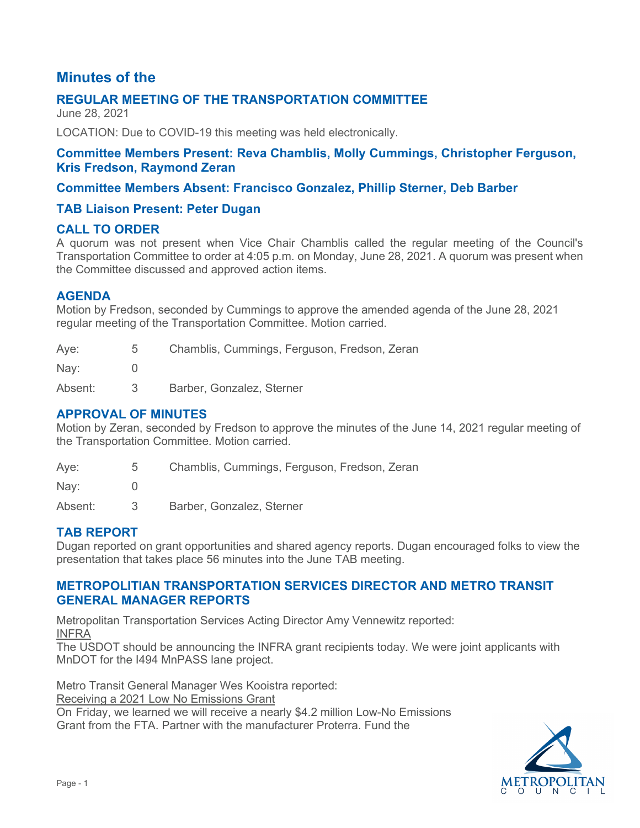# **Minutes of the**

## **REGULAR MEETING OF THE TRANSPORTATION COMMITTEE**

June 28, 2021

LOCATION: Due to COVID-19 this meeting was held electronically.

### **Committee Members Present: Reva Chamblis, Molly Cummings, Christopher Ferguson, Kris Fredson, Raymond Zeran**

### **Committee Members Absent: Francisco Gonzalez, Phillip Sterner, Deb Barber**

### **TAB Liaison Present: Peter Dugan**

### **CALL TO ORDER**

A quorum was not present when Vice Chair Chamblis called the regular meeting of the Council's Transportation Committee to order at 4:05 p.m. on Monday, June 28, 2021. A quorum was present when the Committee discussed and approved action items.

### **AGENDA**

Motion by Fredson, seconded by Cummings to approve the amended agenda of the June 28, 2021 regular meeting of the Transportation Committee. Motion carried.

| Aye:    | 5 | Chamblis, Cummings, Ferguson, Fredson, Zeran |
|---------|---|----------------------------------------------|
| Nay:    |   |                                              |
| Absent: | 3 | Barber, Gonzalez, Sterner                    |

### **APPROVAL OF MINUTES**

Motion by Zeran, seconded by Fredson to approve the minutes of the June 14, 2021 regular meeting of the Transportation Committee. Motion carried.

| Aye:    | 5 | Chamblis, Cummings, Ferguson, Fredson, Zeran |
|---------|---|----------------------------------------------|
| Nay:    |   |                                              |
| Absent: |   | Barber, Gonzalez, Sterner                    |

### **TAB REPORT**

Dugan reported on grant opportunities and shared agency reports. Dugan encouraged folks to view the presentation that takes place 56 minutes into the June TAB meeting.

### **METROPOLITIAN TRANSPORTATION SERVICES DIRECTOR AND METRO TRANSIT GENERAL MANAGER REPORTS**

Metropolitan Transportation Services Acting Director Amy Vennewitz reported: INFRA

The USDOT should be announcing the INFRA grant recipients today. We were joint applicants with MnDOT for the I494 MnPASS lane project.

Metro Transit General Manager Wes Kooistra reported: Receiving a 2021 Low No Emissions Grant On Friday, we learned we will receive a nearly \$4.2 million Low-No Emissions Grant from the FTA. Partner with the manufacturer Proterra. Fund the

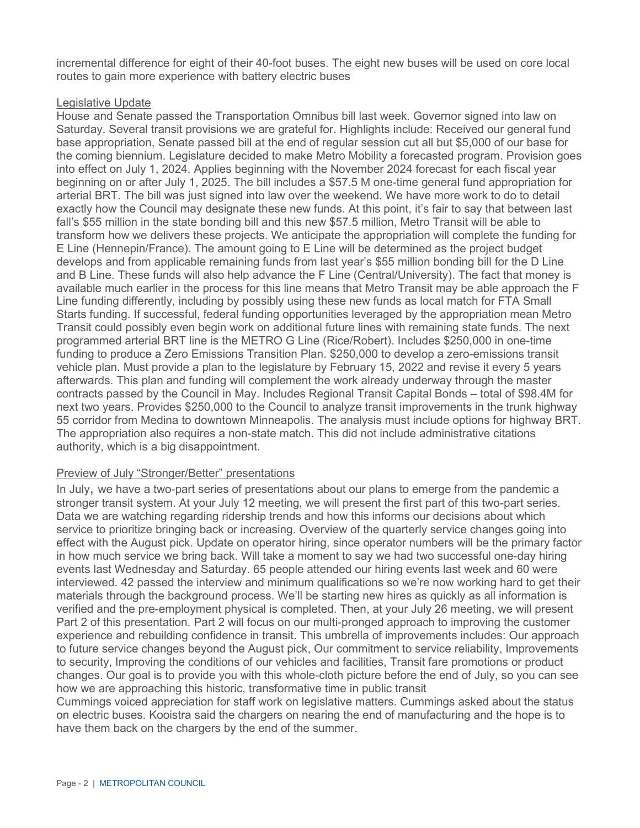incremental difference for eight of their 40-foot buses. The eight new buses will be used on core local routes to gain more experience with battery electric buses

#### Legislative Update

House and Senate passed the Transportation Omnibus bill last week. Governor signed into law on Saturday. Several transit provisions we are grateful for. Highlights include: Received our general fund base appropriation, Senate passed bill at the end of regular session cut all but \$5,000 of our base for the coming biennium. Legislature decided to make Metro Mobility a forecasted program. Provision goes into effect on July 1, 2024. Applies beginning with the November 2024 forecast for each fiscal year beginning on or after July 1, 2025. The bill includes a \$57.5 M one-time general fund appropriation for arterial BRT. The bill was just signed into law over the weekend. We have more work to do to detail exactly how the Council may designate these new funds. At this point, it's fair to say that between last fall's \$55 million in the state bonding bill and this new \$57.5 million, Metro Transit will be able to transform how we delivers these projects. We anticipate the appropriation will complete the funding for E Line (Hennepin/France). The amount going to E Line will be determined as the project budget develops and from applicable remaining funds from last year's \$55 million bonding bill for the D Line and B Line. These funds will also help advance the F Line (Central/University). The fact that money is available much earlier in the process for this line means that Metro Transit may be able approach the F Line funding differently, including by possibly using these new funds as local match for FTA Small Starts funding. If successful, federal funding opportunities leveraged by the appropriation mean Metro Transit could possibly even begin work on additional future lines with remaining state funds. The next programmed arterial BRT line is the METRO G Line (Rice/Robert). Includes \$250,000 in one-time funding to produce a Zero Emissions Transition Plan. \$250,000 to develop a zero-emissions transit vehicle plan. Must provide a plan to the legislature by February 15, 2022 and revise it every 5 years afterwards. This plan and funding will complement the work already underway through the master contracts passed by the Council in May. Includes Regional Transit Capital Bonds – total of \$98.4M for next two years. Provides \$250,000 to the Council to analyze transit improvements in the trunk highway 55 corridor from Medina to downtown Minneapolis. The analysis must include options for highway BRT. The appropriation also requires a non-state match. This did not include administrative citations authority, which is a big disappointment.

#### Preview of July "Stronger/Better" presentations

In July, we have a two-part series of presentations about our plans to emerge from the pandemic a stronger transit system. At your July 12 meeting, we will present the first part of this two-part series. Data we are watching regarding ridership trends and how this informs our decisions about which service to prioritize bringing back or increasing. Overview of the quarterly service changes going into effect with the August pick. Update on operator hiring, since operator numbers will be the primary factor in how much service we bring back. Will take a moment to say we had two successful one-day hiring events last Wednesday and Saturday. 65 people attended our hiring events last week and 60 were interviewed. 42 passed the interview and minimum qualifications so we're now working hard to get their materials through the background process. We'll be starting new hires as quickly as all information is verified and the pre-employment physical is completed. Then, at your July 26 meeting, we will present Part 2 of this presentation. Part 2 will focus on our multi-pronged approach to improving the customer experience and rebuilding confidence in transit. This umbrella of improvements includes: Our approach to future service changes beyond the August pick, Our commitment to service reliability, Improvements to security, Improving the conditions of our vehicles and facilities, Transit fare promotions or product changes. Our goal is to provide you with this whole-cloth picture before the end of July, so you can see how we are approaching this historic, transformative time in public transit

Cummings voiced appreciation for staff work on legislative matters. Cummings asked about the status on electric buses. Kooistra said the chargers on nearing the end of manufacturing and the hope is to have them back on the chargers by the end of the summer.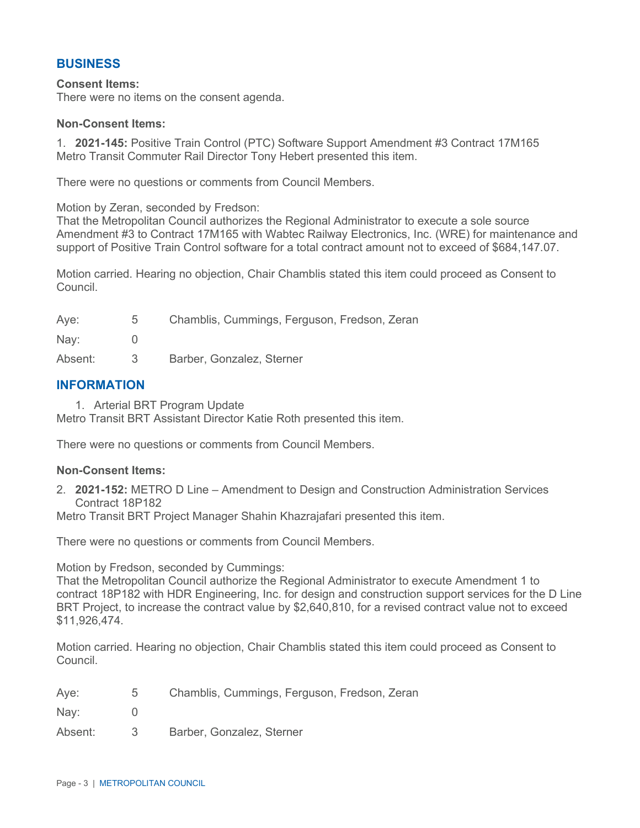### **BUSINESS**

#### **Consent Items:**

There were no items on the consent agenda.

#### **Non-Consent Items:**

1. **2021-145:** Positive Train Control (PTC) Software Support Amendment #3 Contract 17M165 Metro Transit Commuter Rail Director Tony Hebert presented this item.

There were no questions or comments from Council Members.

Motion by Zeran, seconded by Fredson:

That the Metropolitan Council authorizes the Regional Administrator to execute a sole source Amendment #3 to Contract 17M165 with Wabtec Railway Electronics, Inc. (WRE) for maintenance and support of Positive Train Control software for a total contract amount not to exceed of \$684,147.07.

Motion carried. Hearing no objection, Chair Chamblis stated this item could proceed as Consent to Council.

| Aye:    | 5   | Chamblis, Cummings, Ferguson, Fredson, Zeran |
|---------|-----|----------------------------------------------|
| Nay:    |     |                                              |
| Absent: | -3- | Barber, Gonzalez, Sterner                    |

#### **INFORMATION**

1. Arterial BRT Program Update

Metro Transit BRT Assistant Director Katie Roth presented this item.

There were no questions or comments from Council Members.

#### **Non-Consent Items:**

2. **2021-152:** METRO D Line – Amendment to Design and Construction Administration Services Contract 18P182

Metro Transit BRT Project Manager Shahin Khazrajafari presented this item.

There were no questions or comments from Council Members.

Motion by Fredson, seconded by Cummings:

That the Metropolitan Council authorize the Regional Administrator to execute Amendment 1 to contract 18P182 with HDR Engineering, Inc. for design and construction support services for the D Line BRT Project, to increase the contract value by \$2,640,810, for a revised contract value not to exceed \$11,926,474.

Motion carried. Hearing no objection, Chair Chamblis stated this item could proceed as Consent to Council.

| Aye: |  | Chamblis, Cummings, Ferguson, Fredson, Zeran |  |  |
|------|--|----------------------------------------------|--|--|
|      |  |                                              |  |  |

Nay: 0

Absent: 3 Barber, Gonzalez, Sterner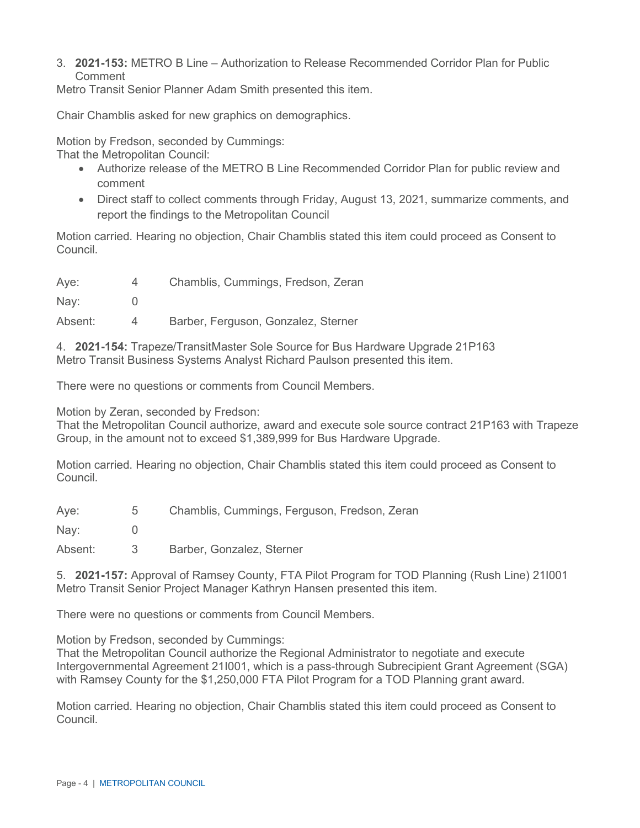3. **2021-153:** METRO B Line – Authorization to Release Recommended Corridor Plan for Public Comment

Metro Transit Senior Planner Adam Smith presented this item.

Chair Chamblis asked for new graphics on demographics.

Motion by Fredson, seconded by Cummings: That the Metropolitan Council:

- Authorize release of the METRO B Line Recommended Corridor Plan for public review and comment
- Direct staff to collect comments through Friday, August 13, 2021, summarize comments, and report the findings to the Metropolitan Council

Motion carried. Hearing no objection, Chair Chamblis stated this item could proceed as Consent to Council.

Aye: 4 Chamblis, Cummings, Fredson, Zeran

Nay: 0

Absent: 4 Barber, Ferguson, Gonzalez, Sterner

4. **2021-154:** Trapeze/TransitMaster Sole Source for Bus Hardware Upgrade 21P163 Metro Transit Business Systems Analyst Richard Paulson presented this item.

There were no questions or comments from Council Members.

Motion by Zeran, seconded by Fredson:

That the Metropolitan Council authorize, award and execute sole source contract 21P163 with Trapeze Group, in the amount not to exceed \$1,389,999 for Bus Hardware Upgrade.

Motion carried. Hearing no objection, Chair Chamblis stated this item could proceed as Consent to Council.

Aye: 5 Chamblis, Cummings, Ferguson, Fredson, Zeran

Nay: 0

Absent: 3 Barber, Gonzalez, Sterner

5. **2021-157:** Approval of Ramsey County, FTA Pilot Program for TOD Planning (Rush Line) 21I001 Metro Transit Senior Project Manager Kathryn Hansen presented this item.

There were no questions or comments from Council Members.

Motion by Fredson, seconded by Cummings:

That the Metropolitan Council authorize the Regional Administrator to negotiate and execute Intergovernmental Agreement 21I001, which is a pass-through Subrecipient Grant Agreement (SGA) with Ramsey County for the \$1,250,000 FTA Pilot Program for a TOD Planning grant award.

Motion carried. Hearing no objection, Chair Chamblis stated this item could proceed as Consent to Council.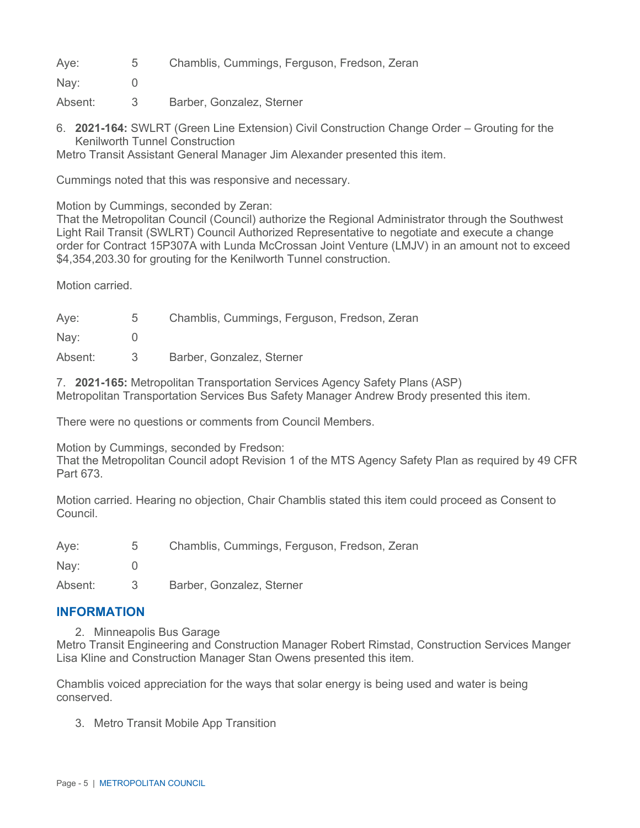Aye: 5 Chamblis, Cummings, Ferguson, Fredson, Zeran

Nay: 0

- Absent: 3 Barber, Gonzalez, Sterner
- 6. **2021-164:** SWLRT (Green Line Extension) Civil Construction Change Order Grouting for the Kenilworth Tunnel Construction

Metro Transit Assistant General Manager Jim Alexander presented this item.

Cummings noted that this was responsive and necessary.

Motion by Cummings, seconded by Zeran:

That the Metropolitan Council (Council) authorize the Regional Administrator through the Southwest Light Rail Transit (SWLRT) Council Authorized Representative to negotiate and execute a change order for Contract 15P307A with Lunda McCrossan Joint Venture (LMJV) in an amount not to exceed \$4,354,203.30 for grouting for the Kenilworth Tunnel construction.

Motion carried.

| Aye:          | 5 | Chamblis, Cummings, Ferguson, Fredson, Zeran |
|---------------|---|----------------------------------------------|
| $\text{Nay:}$ |   |                                              |
| Absent:       | 3 | Barber, Gonzalez, Sterner                    |

7. **2021-165:** Metropolitan Transportation Services Agency Safety Plans (ASP) Metropolitan Transportation Services Bus Safety Manager Andrew Brody presented this item.

There were no questions or comments from Council Members.

Motion by Cummings, seconded by Fredson:

That the Metropolitan Council adopt Revision 1 of the MTS Agency Safety Plan as required by 49 CFR Part 673.

Motion carried. Hearing no objection, Chair Chamblis stated this item could proceed as Consent to Council.

Aye: 5 Chamblis, Cummings, Ferguson, Fredson, Zeran

Nav: 0

Absent: 3 Barber, Gonzalez, Sterner

### **INFORMATION**

2. Minneapolis Bus Garage

Metro Transit Engineering and Construction Manager Robert Rimstad, Construction Services Manger Lisa Kline and Construction Manager Stan Owens presented this item.

Chamblis voiced appreciation for the ways that solar energy is being used and water is being conserved.

3. Metro Transit Mobile App Transition